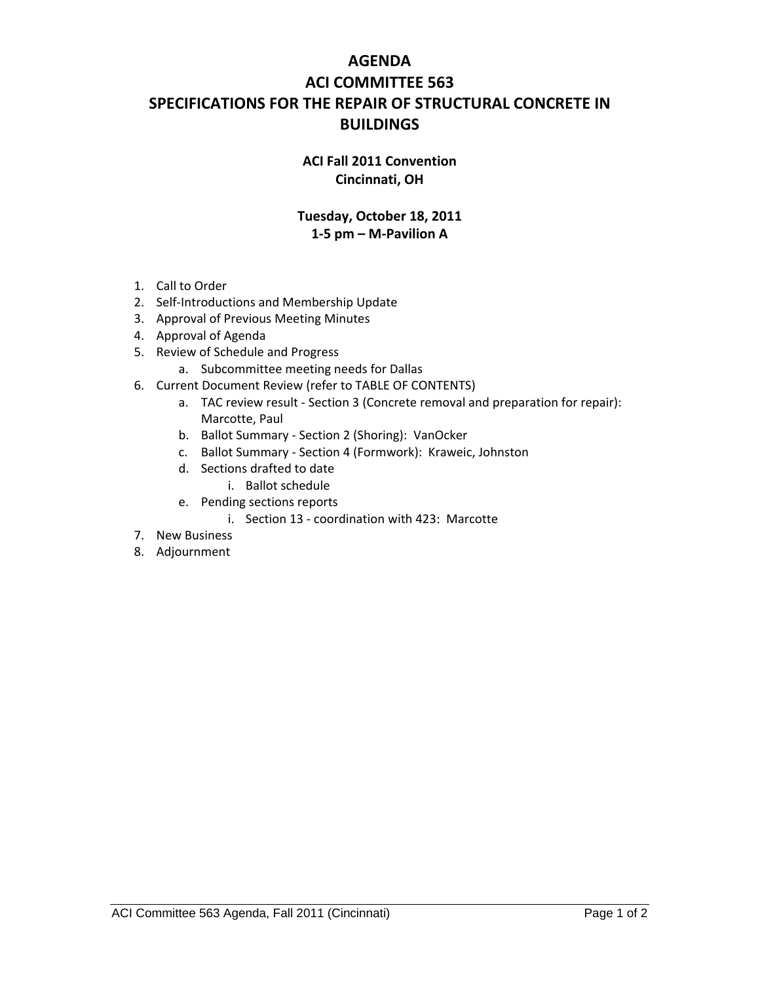## **AGENDA ACI COMMITTEE 563 SPECIFICATIONS FOR THE REPAIR OF STRUCTURAL CONCRETE IN BUILDINGS**

## **ACI Fall 2011 Convention Cincinnati, OH**

## **Tuesday, October 18, 2011 1‐5 pm – M‐Pavilion A**

- 1. Call to Order
- 2. Self‐Introductions and Membership Update
- 3. Approval of Previous Meeting Minutes
- 4. Approval of Agenda
- 5. Review of Schedule and Progress
	- a. Subcommittee meeting needs for Dallas
- 6. Current Document Review (refer to TABLE OF CONTENTS)
	- a. TAC review result Section 3 (Concrete removal and preparation for repair): Marcotte, Paul
	- b. Ballot Summary ‐ Section 2 (Shoring): VanOcker
	- c. Ballot Summary ‐ Section 4 (Formwork): Kraweic, Johnston
	- d. Sections drafted to date
		- i. Ballot schedule
	- e. Pending sections reports
		- i. Section 13 ‐ coordination with 423: Marcotte
- 7. New Business
- 8. Adjournment